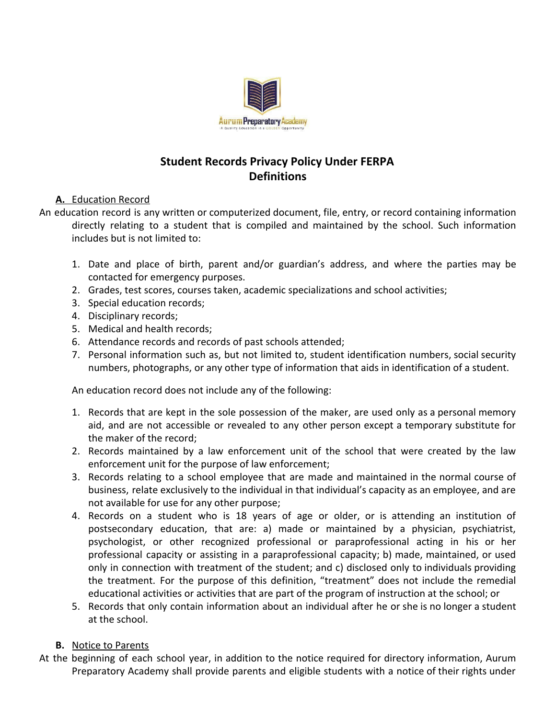

# **Student Records Privacy Policy Under FERPA Definitions**

## **A.** Education Record

- An education record is any written or computerized document, file, entry, or record containing information directly relating to a student that is compiled and maintained by the school. Such information includes but is not limited to:
	- 1. Date and place of birth, parent and/or guardian's address, and where the parties may be contacted for emergency purposes.
	- 2. Grades, test scores, courses taken, academic specializations and school activities;
	- 3. Special education records;
	- 4. Disciplinary records;
	- 5. Medical and health records;
	- 6. Attendance records and records of past schools attended;
	- 7. Personal information such as, but not limited to, student identification numbers, social security numbers, photographs, or any other type of information that aids in identification of a student.

An education record does not include any of the following:

- 1. Records that are kept in the sole possession of the maker, are used only as a personal memory aid, and are not accessible or revealed to any other person except a temporary substitute for the maker of the record;
- 2. Records maintained by a law enforcement unit of the school that were created by the law enforcement unit for the purpose of law enforcement;
- 3. Records relating to a school employee that are made and maintained in the normal course of business, relate exclusively to the individual in that individual's capacity as an employee, and are not available for use for any other purpose;
- 4. Records on a student who is 18 years of age or older, or is attending an institution of postsecondary education, that are: a) made or maintained by a physician, psychiatrist, psychologist, or other recognized professional or paraprofessional acting in his or her professional capacity or assisting in a paraprofessional capacity; b) made, maintained, or used only in connection with treatment of the student; and c) disclosed only to individuals providing the treatment. For the purpose of this definition, "treatment" does not include the remedial educational activities or activities that are part of the program of instruction at the school; or
- 5. Records that only contain information about an individual after he or she is no longer a student at the school.

### **B.** Notice to Parents

At the beginning of each school year, in addition to the notice required for directory information, Aurum Preparatory Academy shall provide parents and eligible students with a notice of their rights under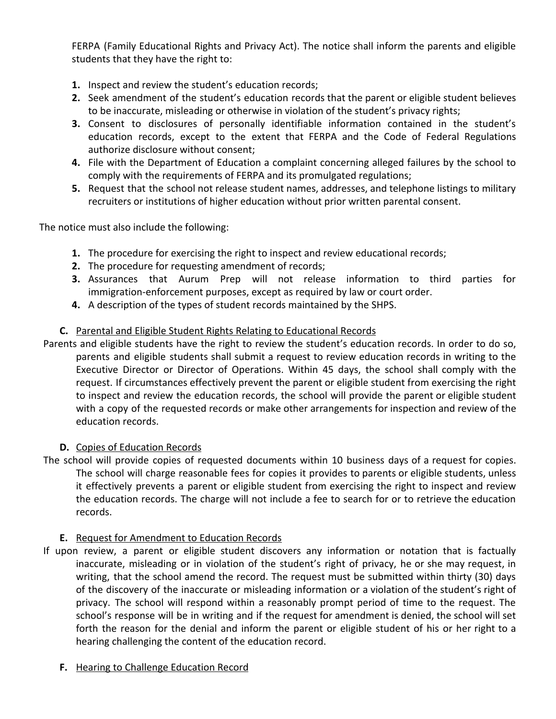FERPA (Family Educational Rights and Privacy Act). The notice shall inform the parents and eligible students that they have the right to:

- **1.** Inspect and review the student's education records;
- **2.** Seek amendment of the student's education records that the parent or eligible student believes to be inaccurate, misleading or otherwise in violation of the student's privacy rights;
- **3.** Consent to disclosures of personally identifiable information contained in the student's education records, except to the extent that FERPA and the Code of Federal Regulations authorize disclosure without consent;
- **4.** File with the Department of Education a complaint concerning alleged failures by the school to comply with the requirements of FERPA and its promulgated regulations;
- **5.** Request that the school not release student names, addresses, and telephone listings to military recruiters or institutions of higher education without prior written parental consent.

The notice must also include the following:

- **1.** The procedure for exercising the right to inspect and review educational records;
- **2.** The procedure for requesting amendment of records;
- **3.** Assurances that Aurum Prep will not release information to third parties for immigration-enforcement purposes, except as required by law or court order.
- **4.** A description of the types of student records maintained by the SHPS.

## **C.** Parental and Eligible Student Rights Relating to Educational Records

Parents and eligible students have the right to review the student's education records. In order to do so, parents and eligible students shall submit a request to review education records in writing to the Executive Director or Director of Operations. Within 45 days, the school shall comply with the request. If circumstances effectively prevent the parent or eligible student from exercising the right to inspect and review the education records, the school will provide the parent or eligible student with a copy of the requested records or make other arrangements for inspection and review of the education records.

### **D.** Copies of Education Records

The school will provide copies of requested documents within 10 business days of a request for copies. The school will charge reasonable fees for copies it provides to parents or eligible students, unless it effectively prevents a parent or eligible student from exercising the right to inspect and review the education records. The charge will not include a fee to search for or to retrieve the education records.

### **E.** Request for Amendment to Education Records

- If upon review, a parent or eligible student discovers any information or notation that is factually inaccurate, misleading or in violation of the student's right of privacy, he or she may request, in writing, that the school amend the record. The request must be submitted within thirty (30) days of the discovery of the inaccurate or misleading information or a violation of the student's right of privacy. The school will respond within a reasonably prompt period of time to the request. The school's response will be in writing and if the request for amendment is denied, the school will set forth the reason for the denial and inform the parent or eligible student of his or her right to a hearing challenging the content of the education record.
	- **F.** Hearing to Challenge Education Record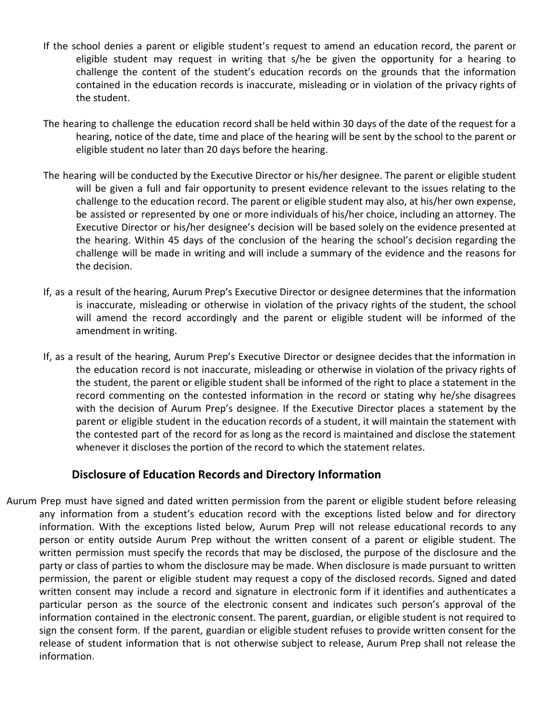- If the school denies a parent or eligible student's request to amend an education record, the parent or eligible student may request in writing that s/he be given the opportunity for a hearing to challenge the content of the student's education records on the grounds that the information contained in the education records is inaccurate, misleading or in violation of the privacy rights of the student.
- The hearing to challenge the education record shall be held within 30 days of the date of the request for a hearing, notice of the date, time and place of the hearing will be sent by the school to the parent or eligible student no later than 20 days before the hearing.
- The hearing will be conducted by the Executive Director or his/her designee. The parent or eligible student will be given a full and fair opportunity to present evidence relevant to the issues relating to the challenge to the education record. The parent or eligible student may also, at his/her own expense, be assisted or represented by one or more individuals of his/her choice, including an attorney. The Executive Director or his/her designee's decision will be based solely on the evidence presented at the hearing. Within 45 days of the conclusion of the hearing the school's decision regarding the challenge will be made in writing and will include a summary of the evidence and the reasons for the decision.
- If, as a result of the hearing, Aurum Prep's Executive Director or designee determines that the information is inaccurate, misleading or otherwise in violation of the privacy rights of the student, the school will amend the record accordingly and the parent or eligible student will be informed of the amendment in writing.
- If, as a result of the hearing, Aurum Prep's Executive Director or designee decides that the information in the education record is not inaccurate, misleading or otherwise in violation of the privacy rights of the student, the parent or eligible student shall be informed of the right to place a statement in the record commenting on the contested information in the record or stating why he/she disagrees with the decision of Aurum Prep's designee. If the Executive Director places a statement by the parent or eligible student in the education records of a student, it will maintain the statement with the contested part of the record for as long as the record is maintained and disclose the statement whenever it discloses the portion of the record to which the statement relates.

# **Disclosure of Education Records and Directory Information**

Aurum Prep must have signed and dated written permission from the parent or eligible student before releasing any information from a student's education record with the exceptions listed below and for directory information. With the exceptions listed below, Aurum Prep will not release educational records to any person or entity outside Aurum Prep without the written consent of a parent or eligible student. The written permission must specify the records that may be disclosed, the purpose of the disclosure and the party or class of parties to whom the disclosure may be made. When disclosure is made pursuant to written permission, the parent or eligible student may request a copy of the disclosed records. Signed and dated written consent may include a record and signature in electronic form if it identifies and authenticates a particular person as the source of the electronic consent and indicates such person's approval of the information contained in the electronic consent. The parent, guardian, or eligible student is not required to sign the consent form. If the parent, guardian or eligible student refuses to provide written consent for the release of student information that is not otherwise subject to release, Aurum Prep shall not release the information.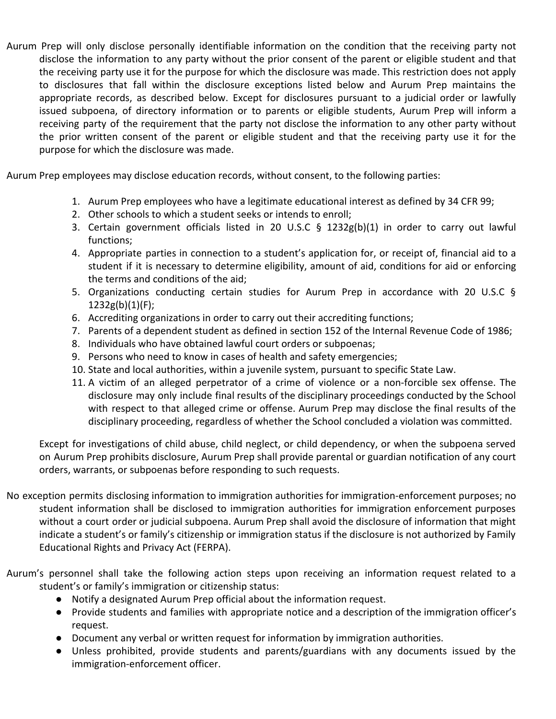Aurum Prep will only disclose personally identifiable information on the condition that the receiving party not disclose the information to any party without the prior consent of the parent or eligible student and that the receiving party use it for the purpose for which the disclosure was made. This restriction does not apply to disclosures that fall within the disclosure exceptions listed below and Aurum Prep maintains the appropriate records, as described below. Except for disclosures pursuant to a judicial order or lawfully issued subpoena, of directory information or to parents or eligible students, Aurum Prep will inform a receiving party of the requirement that the party not disclose the information to any other party without the prior written consent of the parent or eligible student and that the receiving party use it for the purpose for which the disclosure was made.

Aurum Prep employees may disclose education records, without consent, to the following parties:

- 1. Aurum Prep employees who have a legitimate educational interest as defined by 34 CFR 99;
- 2. Other schools to which a student seeks or intends to enroll;
- 3. Certain government officials listed in 20 U.S.C § 1232g(b)(1) in order to carry out lawful functions;
- 4. Appropriate parties in connection to a student's application for, or receipt of, financial aid to a student if it is necessary to determine eligibility, amount of aid, conditions for aid or enforcing the terms and conditions of the aid;
- 5. Organizations conducting certain studies for Aurum Prep in accordance with 20 U.S.C §  $1232g(b)(1)(F);$
- 6. Accrediting organizations in order to carry out their accrediting functions;
- 7. Parents of a dependent student as defined in section 152 of the Internal Revenue Code of 1986;
- 8. Individuals who have obtained lawful court orders or subpoenas;
- 9. Persons who need to know in cases of health and safety emergencies;
- 10. State and local authorities, within a juvenile system, pursuant to specific State Law.
- 11. A victim of an alleged perpetrator of a crime of violence or a non-forcible sex offense. The disclosure may only include final results of the disciplinary proceedings conducted by the School with respect to that alleged crime or offense. Aurum Prep may disclose the final results of the disciplinary proceeding, regardless of whether the School concluded a violation was committed.

Except for investigations of child abuse, child neglect, or child dependency, or when the subpoena served on Aurum Prep prohibits disclosure, Aurum Prep shall provide parental or guardian notification of any court orders, warrants, or subpoenas before responding to such requests.

- No exception permits disclosing information to immigration authorities for immigration-enforcement purposes; no student information shall be disclosed to immigration authorities for immigration enforcement purposes without a court order or judicial subpoena. Aurum Prep shall avoid the disclosure of information that might indicate a student's or family's citizenship or immigration status if the disclosure is not authorized by Family Educational Rights and Privacy Act (FERPA).
- Aurum's personnel shall take the following action steps upon receiving an information request related to a student's or family's immigration or citizenship status:
	- Notify a designated Aurum Prep official about the information request.
	- Provide students and families with appropriate notice and a description of the immigration officer's request.
	- Document any verbal or written request for information by immigration authorities.
	- **●** Unless prohibited, provide students and parents/guardians with any documents issued by the immigration-enforcement officer.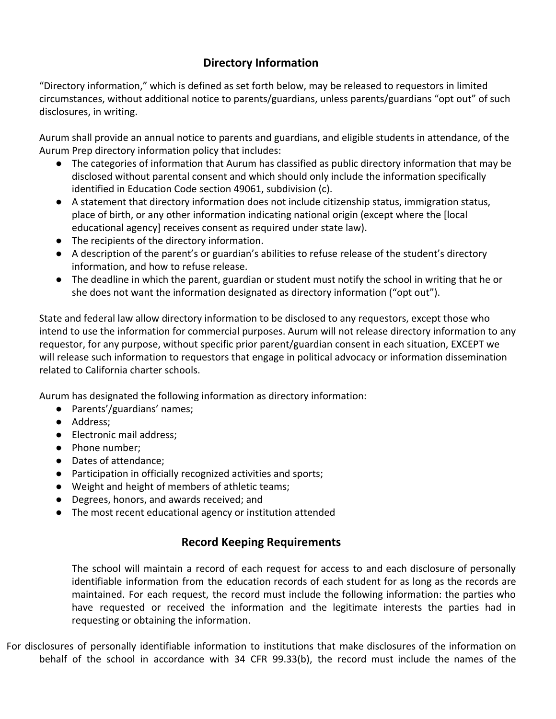# **Directory Information**

"Directory information," which is defined as set forth below, may be released to requestors in limited circumstances, without additional notice to parents/guardians, unless parents/guardians "opt out" of such disclosures, in writing.

Aurum shall provide an annual notice to parents and guardians, and eligible students in attendance, of the Aurum Prep directory information policy that includes:

- The categories of information that Aurum has classified as public directory information that may be disclosed without parental consent and which should only include the information specifically identified in Education Code section 49061, subdivision (c).
- A statement that directory information does not include citizenship status, immigration status, place of birth, or any other information indicating national origin (except where the [local educational agency] receives consent as required under state law).
- The recipients of the directory information.
- A description of the parent's or guardian's abilities to refuse release of the student's directory information, and how to refuse release.
- The deadline in which the parent, guardian or student must notify the school in writing that he or she does not want the information designated as directory information ("opt out").

State and federal law allow directory information to be disclosed to any requestors, except those who intend to use the information for commercial purposes. Aurum will not release directory information to any requestor, for any purpose, without specific prior parent/guardian consent in each situation, EXCEPT we will release such information to requestors that engage in political advocacy or information dissemination related to California charter schools.

Aurum has designated the following information as directory information:

- Parents'/guardians' names;
- Address;
- Electronic mail address;
- Phone number:
- Dates of attendance:
- Participation in officially recognized activities and sports;
- Weight and height of members of athletic teams;
- Degrees, honors, and awards received; and
- The most recent educational agency or institution attended

# **Record Keeping Requirements**

The school will maintain a record of each request for access to and each disclosure of personally identifiable information from the education records of each student for as long as the records are maintained. For each request, the record must include the following information: the parties who have requested or received the information and the legitimate interests the parties had in requesting or obtaining the information.

For disclosures of personally identifiable information to institutions that make disclosures of the information on behalf of the school in accordance with 34 CFR 99.33(b), the record must include the names of the